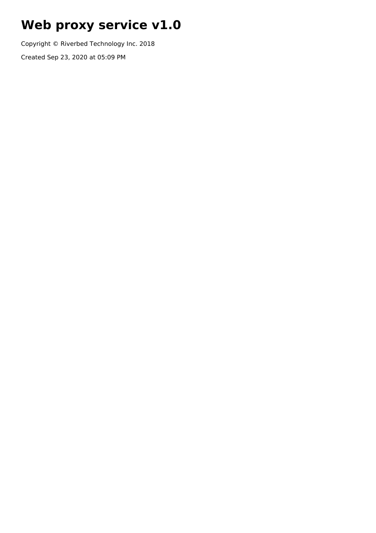# **Web proxy service v1.0**

Copyright © Riverbed Technology Inc. 2018

Created Sep 23, 2020 at 05:09 PM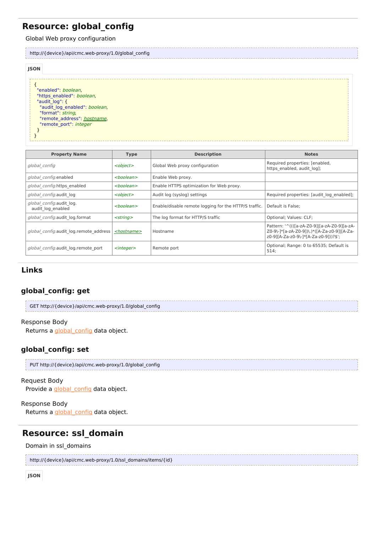# **Resource: global\_config**

Global Web proxy configuration

|                                                            | http://{device}/api/cmc.web-proxy/1.0/global_config                                                                 |  |  |  |
|------------------------------------------------------------|---------------------------------------------------------------------------------------------------------------------|--|--|--|
| <b>JSON</b>                                                |                                                                                                                     |  |  |  |
| "enabled": boolean,<br>"audit log": {<br>"format": string, | "https enabled": boolean,<br>"audit log enabled": boolean,<br>"remote address": hostname,<br>"remote port": integer |  |  |  |

| <b>Property Name</b>                          | <b>Type</b>           | <b>Description</b>                                    | <b>Notes</b>                                                                                                                        |
|-----------------------------------------------|-----------------------|-------------------------------------------------------|-------------------------------------------------------------------------------------------------------------------------------------|
| global config                                 | <object></object>     | Global Web proxy configuration                        | Required properties: [enabled,<br>https enabled, audit log];                                                                        |
| global config.enabled                         | <boolean></boolean>   | Enable Web proxy.                                     |                                                                                                                                     |
| global config.https enabled                   | <boolean></boolean>   | Enable HTTPS optimization for Web proxy.              |                                                                                                                                     |
| global config.audit log                       | <object></object>     | Audit log (syslog) settings                           | Required properties: [audit log enabled];                                                                                           |
| global config.audit log.<br>audit log enabled | $<$ boolean $>$       | Enable/disable remote logging for the HTTP/S traffic. | Default is False:                                                                                                                   |
| global config.audit log.format                | $<$ string $>$        | The log format for HTTP/S traffic                     | Optional; Values: CLF;                                                                                                              |
| global config.audit log.remote address        | <hostname></hostname> | Hostname                                              | Pattern: '^((([a-zA-Z0-9]][a-zA-Z0-9][a-zA-<br>Z0-9\-]*[a-zA-Z0-9])\.)*([A-Za-z0-9] [A-Za-<br>z0-9][A-Za-z0-9\-1*[A-Za-z0-9]))?\$'; |
| global config.audit log.remote port           | $<$ integer $>$       | Remote port                                           | Optional; Range: 0 to 65535; Default is<br>514;                                                                                     |

# **Links**

# **global\_config: get**

| GET http://{device}/api/cmc.web-proxy/1.0/global_config |  |
|---------------------------------------------------------|--|
|                                                         |  |

### Response Body

Returns a *[global\\_config](http://support.riverbed.com/apis/cmc.web-proxy/1.0#/resources/global_config)* data object.

# **global\_config: set**

| PUT http://{device}/api/cmc.web-proxy/1.0/global_config |  |
|---------------------------------------------------------|--|
|                                                         |  |

#### Request Body

Provide a **[global\\_config](http://support.riverbed.com/apis/cmc.web-proxy/1.0#/resources/global_config)** data object.

#### Response Body

Returns a *[global\\_config](http://support.riverbed.com/apis/cmc.web-proxy/1.0#/resources/global_config)* data object.

# **Resource: ssl\_domain**

#### Domain in ssl\_domains

```
http://{device}/api/cmc.web-proxy/1.0/ssl_domains/items/{id}
```

```
JSON
```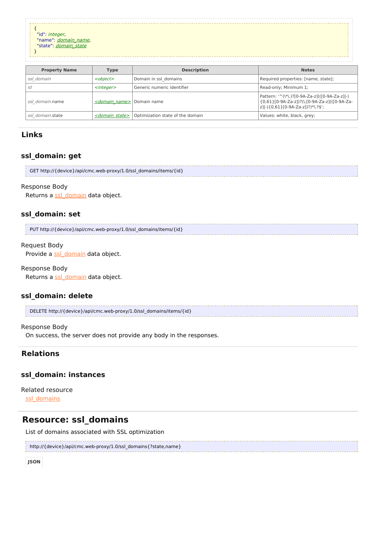```
{
  "id": integer,
  "name": domain_name,
  "state": domain_state
 }
   Property Name Type Description Notes
ssl domain and \left| < object> \right| Domain in ssl domains \left| Required properties: [name, state];
id entertainty and the set of the Generic numeric identifier the set of the Read-only; Minimum 1;
```

| <i>ssl domain.</i> name | <i><domain name=""></domain></i> Domain name |                                  | Pattern: '^(\*\.)?[0-9A-Za-z](([0-9A-Za-z] -)<br>  {0,61}[0-9A-Za-z])?(\.[0-9A-Za-z](([0-9A-Za-<br> z] -){0,61}[0-9A-Za-z])?)*\.?\$'; |
|-------------------------|----------------------------------------------|----------------------------------|---------------------------------------------------------------------------------------------------------------------------------------|
| ssl domain.state        | <i><domain state=""></domain></i>            | Optimization state of the domain | Values: white, black, grey;                                                                                                           |

# **Links**

### **ssl\_domain: get**

GET http://{device}/api/cmc.web-proxy/1.0/ssl\_domains/items/{id}

#### Response Body

Returns a [ssl\\_domain](http://support.riverbed.com/apis/cmc.web-proxy/1.0#/resources/ssl_domain) data object.

#### **ssl\_domain: set**

| PUT http://{device}/api/cmc.web-proxy/1.0/ssl domains/items/{id} |  |
|------------------------------------------------------------------|--|
|                                                                  |  |

#### Request Body

Provide a [ssl\\_domain](http://support.riverbed.com/apis/cmc.web-proxy/1.0#/resources/ssl_domain) data object.

#### Response Body

Returns a [ssl\\_domain](http://support.riverbed.com/apis/cmc.web-proxy/1.0#/resources/ssl_domain) data object.

#### **ssl\_domain: delete**

```
DELETE http://{device}/api/cmc.web-proxy/1.0/ssl_domains/items/{id}
```
#### Response Body

On success, the server does not provide any body in the responses.

### **Relations**

#### **ssl\_domain: instances**

Related resource [ssl\\_domains](http://support.riverbed.com/apis/cmc.web-proxy/1.0#/resources/ssl_domains)

# **Resource: ssl\_domains**

List of domains associated with SSL optimization

```
http://{device}/api/cmc.web-proxy/1.0/ssl_domains{?state,name}
```
**JSON**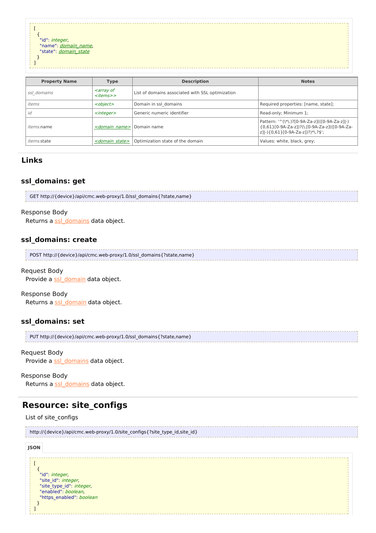$\lceil$ { "id": integer, "name": *[domain\\_name](http://support.riverbed.com/apis/cmc.web-proxy/1.0#/types/domain_name)*, "state": *[domain\\_state](http://support.riverbed.com/apis/cmc.web-proxy/1.0#/types/domain_state)* } ]

| <b>Property Name</b> | <b>Type</b>                                                       | <b>Description</b>                               | <b>Notes</b>                                                                                                                       |
|----------------------|-------------------------------------------------------------------|--------------------------------------------------|------------------------------------------------------------------------------------------------------------------------------------|
| ssl domains          | <i><u><b><array b="" of<=""></array></b></u></i><br>$<$ items $>$ | List of domains associated with SSL optimization |                                                                                                                                    |
| items                | <object></object>                                                 | Domain in ssl domains                            | Required properties: [name, state];                                                                                                |
| id                   | $<$ integer $>$                                                   | Generic numeric identifier                       | Read-only; Minimum 1;                                                                                                              |
| <i>items</i> .name   | <domain name=""></domain>                                         | Domain name                                      | Pattern: '^(\*\.)?[0-9A-Za-z](([0-9A-Za-z]]-)<br>{0,61}[0-9A-Za-z])?(\.[0-9A-Za-z](([0-9A-Za-<br>z] -){0,61}[0-9A-Za-z])?)*\.?\$'; |
| <i>items.state</i>   | <domain state=""></domain>                                        | Optimization state of the domain                 | Values: white, black, grey;                                                                                                        |

### **Links**

### **ssl\_domains: get**

| GET http://{device}/api/cmc.web-proxy/1.0/ssl domains{?state,name} |  |
|--------------------------------------------------------------------|--|
|                                                                    |  |

#### Response Body

Returns a [ssl\\_domains](http://support.riverbed.com/apis/cmc.web-proxy/1.0#/resources/ssl_domains) data object.

#### **ssl\_domains: create**

| POST http://{device}/api/cmc.web-proxy/1.0/ssl domains{?state,name} |  |
|---------------------------------------------------------------------|--|
|                                                                     |  |

#### Request Body

Provide a [ssl\\_domain](http://support.riverbed.com/apis/cmc.web-proxy/1.0#/resources/ssl_domain) data object.

#### Response Body

Returns a [ssl\\_domain](http://support.riverbed.com/apis/cmc.web-proxy/1.0#/resources/ssl_domain) data object.

#### **ssl\_domains: set**

```
PUT http://{device}/api/cmc.web-proxy/1.0/ssl_domains{?state,name}
```
#### Request Body

Provide a [ssl\\_domains](http://support.riverbed.com/apis/cmc.web-proxy/1.0#/resources/ssl_domains) data object.

#### Response Body

Returns a [ssl\\_domains](http://support.riverbed.com/apis/cmc.web-proxy/1.0#/resources/ssl_domains) data object.

# **Resource: site\_configs**

#### List of site\_configs

```
\Gamma{
     "id": integer,
     "site_id": integer,
     "site type id": integer,
     "enabled": boolean,
     "https_enabled": boolean
    }
  ]
http://{device}/api/cmc.web-proxy/1.0/site_configs{?site_type_id,site_id}
JSON
```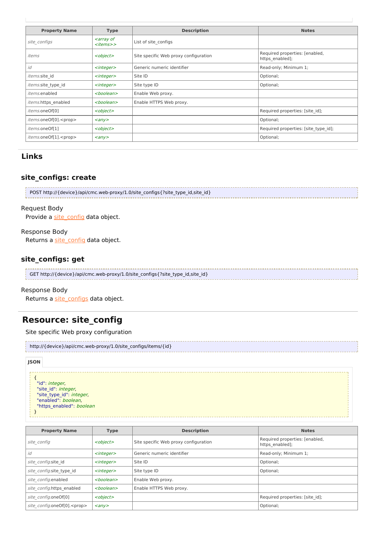| <b>Property Name</b>          | <b>Type</b>                                                      | <b>Description</b>                    | <b>Notes</b>                                      |
|-------------------------------|------------------------------------------------------------------|---------------------------------------|---------------------------------------------------|
| site configs                  | <i><b><array b="" of<=""></array></b></i><br><items>&gt;</items> | List of site configs                  |                                                   |
| items                         | <object></object>                                                | Site specific Web proxy configuration | Required properties: [enabled,<br>https enabled]; |
| id                            | $<$ integer $>$                                                  | Generic numeric identifier            | Read-only; Minimum 1;                             |
| items.site id                 | $<$ integer $>$                                                  | Site ID                               | Optional;                                         |
| items.site type id            | $<$ integer $>$                                                  | Site type ID                          | Optional;                                         |
| <i>items</i> .enabled         | <boolean></boolean>                                              | Enable Web proxy.                     |                                                   |
| <i>items.https</i> enabled    | <boolean></boolean>                                              | Enable HTTPS Web proxy.               |                                                   |
| items.oneOf[0]                | <object></object>                                                |                                       | Required properties: [site id];                   |
| items.oneOf[0]. <prop></prop> | $\langle \rangle$                                                |                                       | Optional;                                         |
| items.oneOf[1]                | <object></object>                                                |                                       | Required properties: [site type id];              |
| items.oneOf[1]. <prop></prop> | $\langle \rangle$                                                |                                       | Optional;                                         |

# **Links**

# **site\_configs: create**

| POST http://{device}/api/cmc.web-proxy/1.0/site_configs{?site_type_id,site_id} |
|--------------------------------------------------------------------------------|
|                                                                                |

#### Request Body

Provide a [site\\_config](http://support.riverbed.com/apis/cmc.web-proxy/1.0#/resources/site_config) data object.

#### Response Body

Returns a [site\\_config](http://support.riverbed.com/apis/cmc.web-proxy/1.0#/resources/site_config) data object.

#### **site\_configs: get**

| GET http://{device}/api/cmc.web-proxy/1.0/site_configs{?site_type_id,site_id} |  |
|-------------------------------------------------------------------------------|--|
|                                                                               |  |
|                                                                               |  |

#### Response Body

Returns a [site\\_configs](http://support.riverbed.com/apis/cmc.web-proxy/1.0#/resources/site_configs) data object.

# **Resource: site\_config**

Site specific Web proxy configuration

| http://{device}/api/cmc.web-proxy/1.0/site_configs/items/{id} |
|---------------------------------------------------------------|
|                                                               |

#### **JSON**

{ "id": *integer*, "site\_id": integer, "site type id": *integer*, "enabled": boolean, "https\_enabled": boolean }

| <b>Property Name</b>                | <b>Type</b>                  | <b>Description</b>                    | <b>Notes</b>                                      |
|-------------------------------------|------------------------------|---------------------------------------|---------------------------------------------------|
| site config                         | <object></object>            | Site specific Web proxy configuration | Required properties: [enabled,<br>https enabled]; |
| id                                  | $<$ integer $>$              | Generic numeric identifier            | Read-only; Minimum 1;                             |
| site config.site id                 | $<$ integer $>$              | Site ID                               | Optional;                                         |
| site config.site type id            | $<$ integer $>$              | Site type ID                          | Optional;                                         |
| site config.enabled                 | <boolean></boolean>          | Enable Web proxy.                     |                                                   |
| site config.https enabled           | <boolean></boolean>          | Enable HTTPS Web proxy.               |                                                   |
| site config.oneOf[0]                | <object></object>            |                                       | Required properties: [site id];                   |
| site config.oneOf[0]. <prop></prop> | $\langle \text{any} \rangle$ |                                       | Optional;                                         |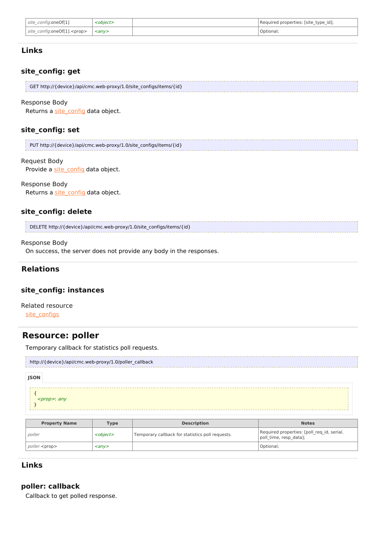| site config.oneOf[1]                | <object></object>       | Required properties: [site type id]; |
|-------------------------------------|-------------------------|--------------------------------------|
| site config.oneOf[1]. <prop></prop> | $\langle$ anv $\rangle$ | Optional;                            |

### **Links**

### **site\_config: get**

| GET http://{device}/api/cmc.web-proxy/1.0/site_configs/items/{id} |
|-------------------------------------------------------------------|
|                                                                   |

#### Response Body

Returns a [site\\_config](http://support.riverbed.com/apis/cmc.web-proxy/1.0#/resources/site_config) data object.

#### **site\_config: set**

| PUT http://{device}/api/cmc.web-proxy/1.0/site configs/items/{id} |
|-------------------------------------------------------------------|
|                                                                   |

#### Request Body

Provide a [site\\_config](http://support.riverbed.com/apis/cmc.web-proxy/1.0#/resources/site_config) data object.

#### Response Body

Returns a [site\\_config](http://support.riverbed.com/apis/cmc.web-proxy/1.0#/resources/site_config) data object.

#### **site\_config: delete**

DELETE http://{device}/api/cmc.web-proxy/1.0/site\_configs/items/{id}

#### Response Body

On success, the server does not provide any body in the responses.

### **Relations**

#### **site\_config: instances**

Related resource [site\\_configs](http://support.riverbed.com/apis/cmc.web-proxy/1.0#/resources/site_configs)

# **Resource: poller**

Temporary callback for statistics poll requests.

| http://{device}/api/cmc.web-proxy/1.0/poller_callback |  |
|-------------------------------------------------------|--|
| <b>JSON</b>                                           |  |

#### { <prop>: any }

| <b>Property Name</b>  | Type              | <b>Description</b>                               | <b>Notes</b>                                                         |
|-----------------------|-------------------|--------------------------------------------------|----------------------------------------------------------------------|
| poller                | <object></object> | Temporary callback for statistics poll requests. | Required properties: [poll req id, serial,<br>poll time, resp data]; |
| poller. <prop></prop> | $\langle \rangle$ |                                                  | Optional;                                                            |

### **Links**

### **poller: callback**

Callback to get polled response.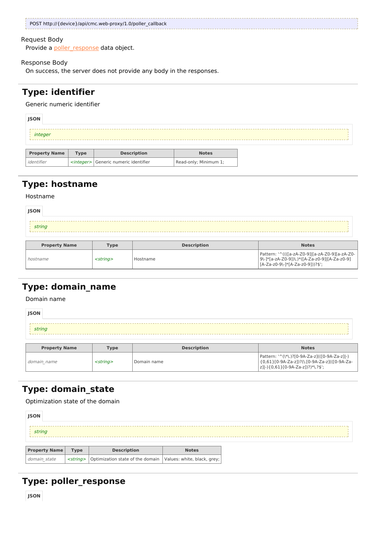| POST http://{device}/api/cmc.web-proxy/1.0/poller_callback |
|------------------------------------------------------------|
|                                                            |

#### Request Body

Provide a [poller\\_response](http://support.riverbed.com/apis/cmc.web-proxy/1.0#/types/poller_response) data object.

#### Response Body

On success, the server does not provide any body in the responses.

# **Type: identifier**

#### Generic numeric identifier

| <b>JSON</b>          |      |                   |              |  |
|----------------------|------|-------------------|--------------|--|
| integer              |      |                   |              |  |
|                      |      |                   |              |  |
| <b>Droperty Name</b> | Tyne | <b>Decription</b> | <b>Notes</b> |  |

| <b>Property Name</b> | <b>Type</b> | <b>Description</b>                             | <b>Notes</b>          |
|----------------------|-------------|------------------------------------------------|-----------------------|
| identifier           |             | <integer> Generic numeric identifier</integer> | Read-only; Minimum 1; |

# **Type: hostname**

#### Hostname

| <b>JSON</b>          |             |                    |                                                                                                                                                                                                                                      |
|----------------------|-------------|--------------------|--------------------------------------------------------------------------------------------------------------------------------------------------------------------------------------------------------------------------------------|
| string               |             |                    |                                                                                                                                                                                                                                      |
| <b>Property Name</b> | <b>Type</b> | <b>Description</b> | <b>Notes</b>                                                                                                                                                                                                                         |
|                      |             |                    | <u>In the taxacture and a magnetic and in the Indian Indian Indian Indian Indian Indian Indian Indian Indian Indian Indian Indian Indian Indian Indian Indian Indian Indian Indian Indian Indian Indian Indian Indian Indian Ind</u> |

| <b>Property Name</b> | l vpe             | <b>Description</b> | <b>Notes</b>                                                                                                                            |
|----------------------|-------------------|--------------------|-----------------------------------------------------------------------------------------------------------------------------------------|
| hostname             | <strina></strina> | l Hostname         | Pattern: '^((([a-zA-Z0-9] [a-zA-Z0-9][a-zA-Z0-<br>  9\-1*[a-zA-Z0-9])\.)*([A-Za-z0-9] [A-Za-z0-9]<br>  [A-Za-z0-9\-1*[A-Za-z0-9]))?\$'; |
|                      |                   |                    |                                                                                                                                         |

# **Type: domain\_name**

Domain name

| <b>JSON</b><br>string |                |                    |                                                                                                                                     |  |  |  |  |
|-----------------------|----------------|--------------------|-------------------------------------------------------------------------------------------------------------------------------------|--|--|--|--|
| <b>Property Name</b>  | <b>Type</b>    | <b>Description</b> | <b>Notes</b>                                                                                                                        |  |  |  |  |
| domain name           | $<$ string $>$ | Domain name        | Pattern: '^(\*\.)?[0-9A-Za-z](([0-9A-Za-z] -)<br>{0,61}[0-9A-Za-z])?(\.[0-9A-Za-z](([0-9A-Za-<br> z] -){0,61}[0-9A-Za-z])?)*\.?\$'; |  |  |  |  |

# **Type: domain\_state**

Optimization state of the domain

| <b>JSON</b>          |             |                                                                                      |              |
|----------------------|-------------|--------------------------------------------------------------------------------------|--------------|
| string               |             |                                                                                      |              |
| <b>Property Name</b> | <b>Type</b> | <b>Description</b>                                                                   | <b>Notes</b> |
| domain state         |             | <string>   Optimization state of the domain   Values: white, black, grey;  </string> |              |

# **Type: poller\_response**